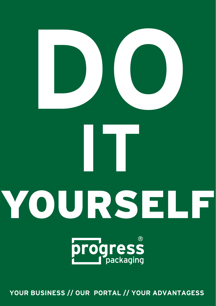

**YOUR BUSINESS // OUR PORTAL // YOUR ADVANTAGESS**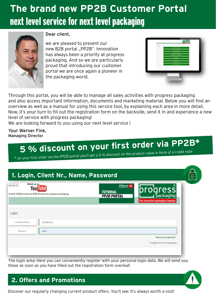# **The brand new PP2B Customer Portal** next level service for next level packaging



#### Dear client,

we are pleased to present our new B2B portal "PP2B". Innovation has always been a priority at progress packaging. And so we are particularly proud that introducing our customer portal we are once again a pioneer in the packaging world.

| 4 none more<br><b>THE CONTRACT</b><br><b><i>B ham house</i></b> |  |
|-----------------------------------------------------------------|--|
|                                                                 |  |
|                                                                 |  |
|                                                                 |  |
| A subspite the business report                                  |  |
| * nones                                                         |  |
| A some                                                          |  |
| * <i>International</i> View                                     |  |
| 7 resides because                                               |  |
|                                                                 |  |
|                                                                 |  |
|                                                                 |  |
|                                                                 |  |

Through this portal, you will be able to manage all sales activities with progress packaging and also access important information, documents and marketing material. Below you will find an overview as well as a manual for using this service tool, by explaining each area in more detail. Now, it's your turn to fill out the registration form on the backside, send it in and experience a new level of service with progress packaging!

We are looking forward to you using our next level service !

Your Werner Fink, Managing Director

# **5 % discount on your first order via PP2B\***

\* on your first order via the PP2B portal you'll get a 5 % discount on the product value in form of a credit note

| Watch us on<br>Serman Y<br><b>You Tube</b>               | progress TV<br>progress<br><b>TUTORIAL</b>             |
|----------------------------------------------------------|--------------------------------------------------------|
| lerzlich Willkommen im B2B Portal von progress packaging | <b>PP2B PORTAL</b><br>The innovative packaging Company |
|                                                          |                                                        |
| Kundennummer:<br>100000.303                              |                                                        |
| Passwort:<br>                                            |                                                        |

The login area: Here you can conveniently register with your personal login data. We will send you these as soon as you have filled out the registration form overleaf.



#### **2. Offers and Promotions**

Discover our regularly changing current product offers. You'll see: It's always worth a visit!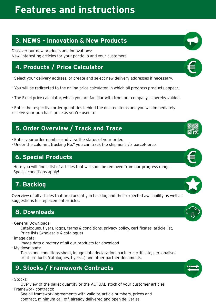# **Features and instructions**

### **3. NEWS - Innovation & New Products**

Discover our new products and innovations: New, interesting articles for your portfolio and your customers!

# **4. Products / Price Calculator**

- Select your delivery address, or create and select new delivery addresses if necessary.
- You will be redirected to the online price calculator, in which all progress products appear.
- The Excel price calculator, which you are familiar with from our company, is hereby voided.

- Enter the respective order quantities behind the desired items and you will immediately receive your purchase price as you're used to!

#### **5. Order Overview / Track and Trace**

- Enter your order number and view the status of your order.
- Under the column "Tracking No." you can track the shipment via parcel-force.

#### **6. Special Products**

Here you will find a list of articles that will soon be removed from our progress range. Special conditions apply!

# **7. Backlog**

Overview of all articles that are currently in backlog and their expected availability as well as suggestions for replacement articles.

#### **8. Downloads**

- General Downloads:

Catalogues, flyers, logos, terms & conditions, privacy policy, certificates, article list, Price lists (wholesale & catalogue)

- image data:

Image data directory of all our products for download

- My downloads:

Terms and conditions sheet, image data declaration, partner certificate, personalised print products (catalogues, flyers...) and other partner documents.

# **9. Stocks / Framework Contracts**

- Stocks:

Overview of the pallet quantity or the ACTUAL stock of your customer articles - Framework contracts:

See all framework agreements with validity, article numbers, prices and contract, minimum call-off, already delivered and open deliveries